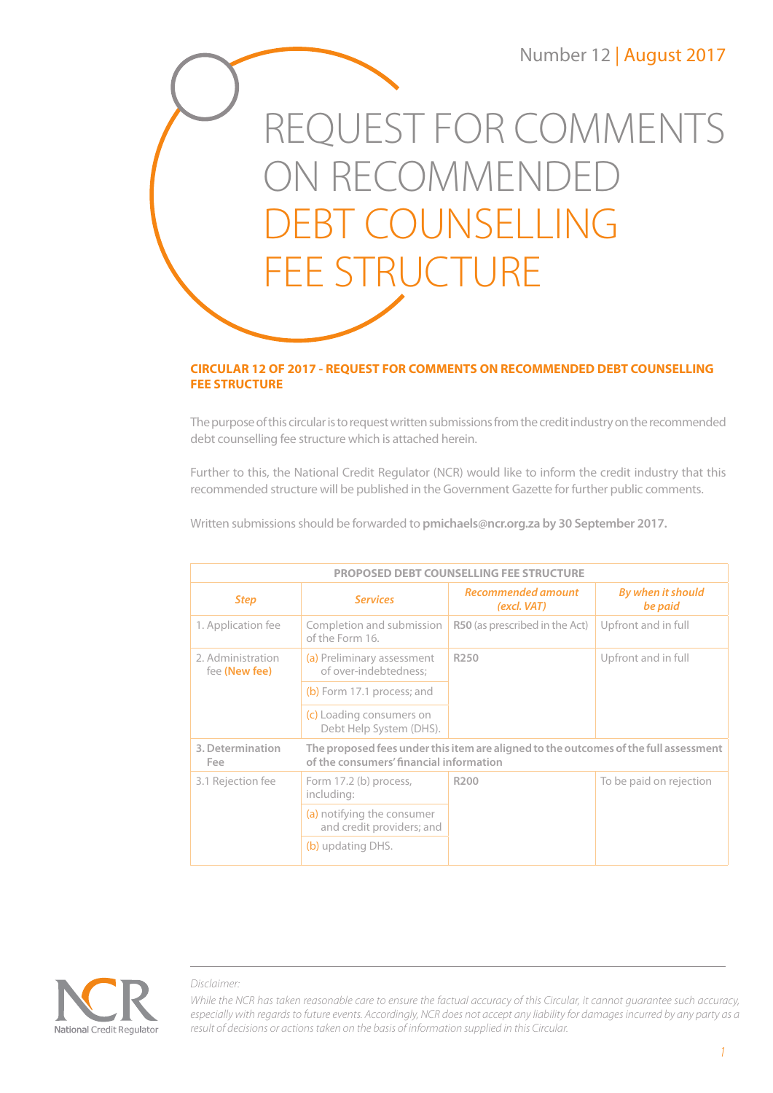Number 12 | August 2017

REQUEST FOR COMMENTS ON RECOMMENDED **BT COUNSELLING** FEE STRUCTURE

## **CIRCULAR 12 OF 2017 - REQUEST FOR COMMENTS ON RECOMMENDED DEBT COUNSELLING FEE STRUCTURE**

The purpose of this circular is to request written submissions from the credit industry on the recommended debt counselling fee structure which is attached herein.

Further to this, the National Credit Regulator (NCR) would like to inform the credit industry that this recommended structure will be published in the Government Gazette for further public comments.

Written submissions should be forwarded to **pmichaels@ncr.org.za by 30 September 2017.**

| <b>PROPOSED DEBT COUNSELLING FEE STRUCTURE</b> |                                                                                                                                 |                                          |                                     |  |  |
|------------------------------------------------|---------------------------------------------------------------------------------------------------------------------------------|------------------------------------------|-------------------------------------|--|--|
| <b>Step</b>                                    | <b>Services</b>                                                                                                                 | <b>Recommended amount</b><br>(excl. VAT) | <b>By when it should</b><br>be paid |  |  |
| 1. Application fee                             | Completion and submission<br>of the Form 16.                                                                                    | <b>R50</b> (as prescribed in the Act)    | Upfront and in full                 |  |  |
| 2. Administration<br>fee ( <b>New fee</b> )    | (a) Preliminary assessment<br>of over-indebtedness;                                                                             | R250                                     | Upfront and in full                 |  |  |
|                                                | (b) Form 17.1 process; and                                                                                                      |                                          |                                     |  |  |
|                                                | (c) Loading consumers on<br>Debt Help System (DHS).                                                                             |                                          |                                     |  |  |
| 3. Determination<br>Fee                        | The proposed fees under this item are aligned to the outcomes of the full assessment<br>of the consumers' financial information |                                          |                                     |  |  |
| 3.1 Rejection fee                              | Form 17.2 (b) process,<br>including:                                                                                            | R <sub>200</sub>                         | To be paid on rejection             |  |  |
|                                                | (a) notifying the consumer<br>and credit providers; and                                                                         |                                          |                                     |  |  |
|                                                | (b) updating DHS.                                                                                                               |                                          |                                     |  |  |



*Disclaimer:*

*While the NCR has taken reasonable care to ensure the factual accuracy of this Circular, it cannot guarantee such accuracy, especially with regards to future events. Accordingly, NCR does not accept any liability for damages incurred by any party as a result of decisions or actions taken on the basis of information supplied in this Circular.*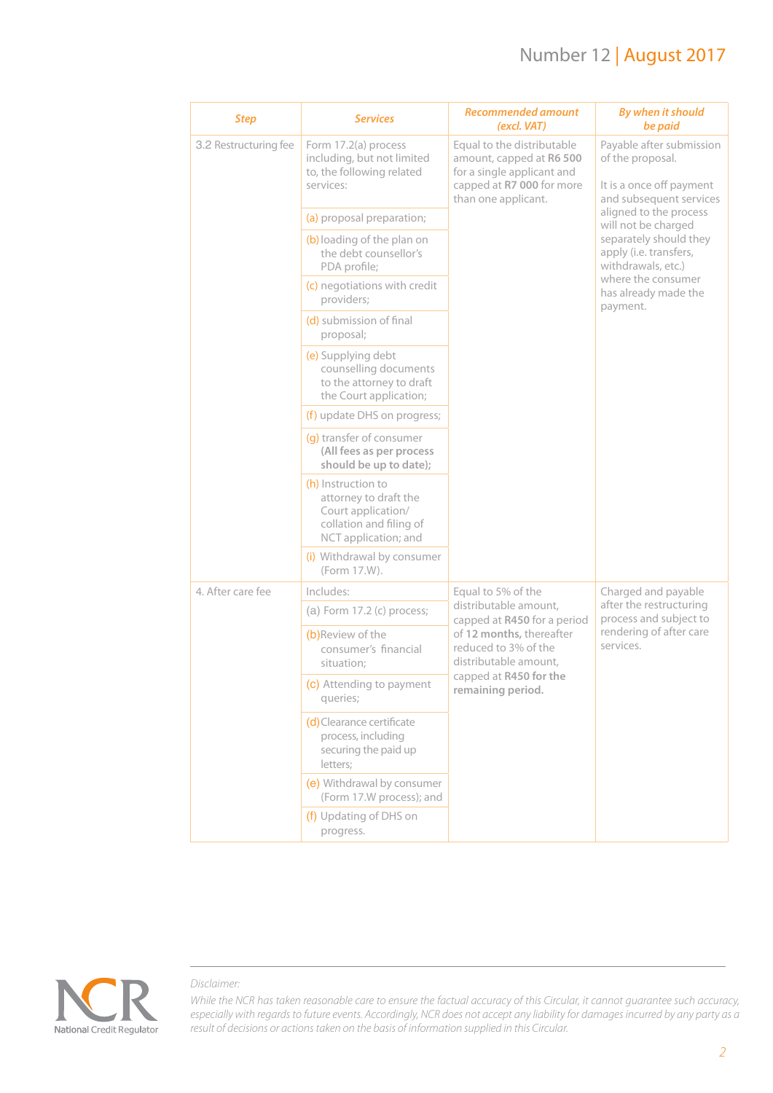| <b>Step</b>           | <b>Services</b>                                                                                                      | <b>Recommended amount</b><br>(excl. VAT)                                                                                                                                                               | <b>By when it should</b><br>be paid                                                                                                                                                                                                                                                      |
|-----------------------|----------------------------------------------------------------------------------------------------------------------|--------------------------------------------------------------------------------------------------------------------------------------------------------------------------------------------------------|------------------------------------------------------------------------------------------------------------------------------------------------------------------------------------------------------------------------------------------------------------------------------------------|
| 3.2 Restructuring fee | Form 17.2(a) process<br>including, but not limited<br>to, the following related<br>services:                         | Equal to the distributable<br>amount, capped at R6 500<br>for a single applicant and<br>capped at R7 000 for more<br>than one applicant.                                                               | Payable after submission<br>of the proposal.<br>It is a once off payment<br>and subsequent services<br>aligned to the process<br>will not be charged<br>separately should they<br>apply (i.e. transfers,<br>withdrawals, etc.)<br>where the consumer<br>has already made the<br>payment. |
|                       | (a) proposal preparation;                                                                                            |                                                                                                                                                                                                        |                                                                                                                                                                                                                                                                                          |
|                       | (b) loading of the plan on<br>the debt counsellor's<br>PDA profile;                                                  |                                                                                                                                                                                                        |                                                                                                                                                                                                                                                                                          |
|                       | (c) negotiations with credit<br>providers;                                                                           |                                                                                                                                                                                                        |                                                                                                                                                                                                                                                                                          |
|                       | (d) submission of final<br>proposal;                                                                                 |                                                                                                                                                                                                        |                                                                                                                                                                                                                                                                                          |
|                       | (e) Supplying debt<br>counselling documents<br>to the attorney to draft<br>the Court application;                    |                                                                                                                                                                                                        |                                                                                                                                                                                                                                                                                          |
|                       | (f) update DHS on progress;                                                                                          |                                                                                                                                                                                                        |                                                                                                                                                                                                                                                                                          |
|                       | (g) transfer of consumer<br>(All fees as per process<br>should be up to date);                                       |                                                                                                                                                                                                        |                                                                                                                                                                                                                                                                                          |
|                       | (h) Instruction to<br>attorney to draft the<br>Court application/<br>collation and filing of<br>NCT application; and |                                                                                                                                                                                                        |                                                                                                                                                                                                                                                                                          |
|                       | (i) Withdrawal by consumer<br>(Form 17.W).                                                                           |                                                                                                                                                                                                        |                                                                                                                                                                                                                                                                                          |
| 4. After care fee     | Includes:                                                                                                            | Equal to 5% of the<br>distributable amount,<br>capped at R450 for a period<br>of 12 months, thereafter<br>reduced to 3% of the<br>distributable amount.<br>capped at R450 for the<br>remaining period. | Charged and payable<br>after the restructuring<br>process and subject to<br>rendering of after care<br>services.                                                                                                                                                                         |
|                       | (a) Form $17.2$ (c) process;                                                                                         |                                                                                                                                                                                                        |                                                                                                                                                                                                                                                                                          |
|                       | (b)Review of the<br>consumer's financial<br>situation:                                                               |                                                                                                                                                                                                        |                                                                                                                                                                                                                                                                                          |
|                       | (c) Attending to payment<br>queries;                                                                                 |                                                                                                                                                                                                        |                                                                                                                                                                                                                                                                                          |
|                       | (d) Clearance certificate<br>process, including<br>securing the paid up<br>letters;                                  |                                                                                                                                                                                                        |                                                                                                                                                                                                                                                                                          |
|                       | (e) Withdrawal by consumer<br>(Form 17.W process); and                                                               |                                                                                                                                                                                                        |                                                                                                                                                                                                                                                                                          |
|                       | (f) Updating of DHS on<br>progress.                                                                                  |                                                                                                                                                                                                        |                                                                                                                                                                                                                                                                                          |



*Disclaimer:*

*While the NCR has taken reasonable care to ensure the factual accuracy of this Circular, it cannot guarantee such accuracy, especially with regards to future events. Accordingly, NCR does not accept any liability for damages incurred by any party as a result of decisions or actions taken on the basis of information supplied in this Circular.*